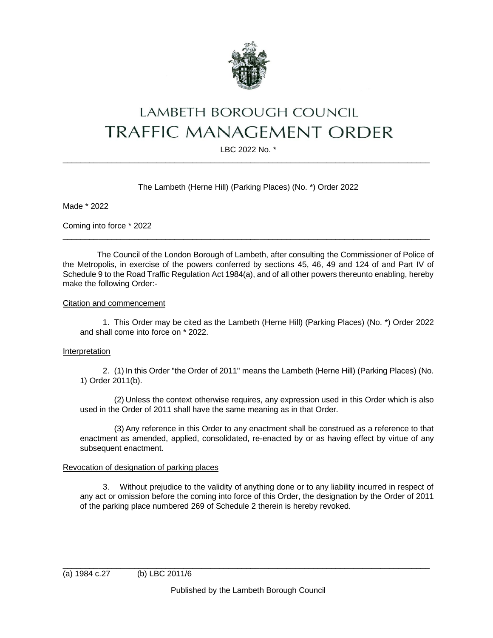

# LAMBETH BOROUGH COUNCIL **TRAFFIC MANAGEMENT ORDER**

LBC 2022 No. \* \_\_\_\_\_\_\_\_\_\_\_\_\_\_\_\_\_\_\_\_\_\_\_\_\_\_\_\_\_\_\_\_\_\_\_\_\_\_\_\_\_\_\_\_\_\_\_\_\_\_\_\_\_\_\_\_\_\_\_\_\_\_\_\_\_\_\_\_\_\_\_\_\_\_\_\_\_\_\_\_\_\_

# The Lambeth (Herne Hill) (Parking Places) (No. \*) Order 2022

Made \* 2022

Coming into force \* 2022

The Council of the London Borough of Lambeth, after consulting the Commissioner of Police of the Metropolis, in exercise of the powers conferred by sections 45, 46, 49 and 124 of and Part IV of Schedule 9 to the Road Traffic Regulation Act 1984(a), and of all other powers thereunto enabling, hereby make the following Order:-

\_\_\_\_\_\_\_\_\_\_\_\_\_\_\_\_\_\_\_\_\_\_\_\_\_\_\_\_\_\_\_\_\_\_\_\_\_\_\_\_\_\_\_\_\_\_\_\_\_\_\_\_\_\_\_\_\_\_\_\_\_\_\_\_\_\_\_\_\_\_\_\_\_\_\_\_\_\_\_\_\_\_

## Citation and commencement

1. This Order may be cited as the Lambeth (Herne Hill) (Parking Places) (No. \*) Order 2022 and shall come into force on \* 2022.

## **Interpretation**

2. (1) In this Order "the Order of 2011" means the Lambeth (Herne Hill) (Parking Places) (No. 1) Order 2011(b).

(2) Unless the context otherwise requires, any expression used in this Order which is also used in the Order of 2011 shall have the same meaning as in that Order.

(3) Any reference in this Order to any enactment shall be construed as a reference to that enactment as amended, applied, consolidated, re-enacted by or as having effect by virtue of any subsequent enactment.

## Revocation of designation of parking places

3. Without prejudice to the validity of anything done or to any liability incurred in respect of any act or omission before the coming into force of this Order, the designation by the Order of 2011 of the parking place numbered 269 of Schedule 2 therein is hereby revoked.

 $\_$  ,  $\_$  ,  $\_$  ,  $\_$  ,  $\_$  ,  $\_$  ,  $\_$  ,  $\_$  ,  $\_$  ,  $\_$  ,  $\_$  ,  $\_$  ,  $\_$  ,  $\_$  ,  $\_$  ,  $\_$  ,  $\_$  ,  $\_$  ,  $\_$  ,  $\_$  ,  $\_$  ,  $\_$  ,  $\_$  ,  $\_$  ,  $\_$  ,  $\_$  ,  $\_$  ,  $\_$  ,  $\_$  ,  $\_$  ,  $\_$  ,  $\_$  ,  $\_$  ,  $\_$  ,  $\_$  ,  $\_$  ,  $\_$  ,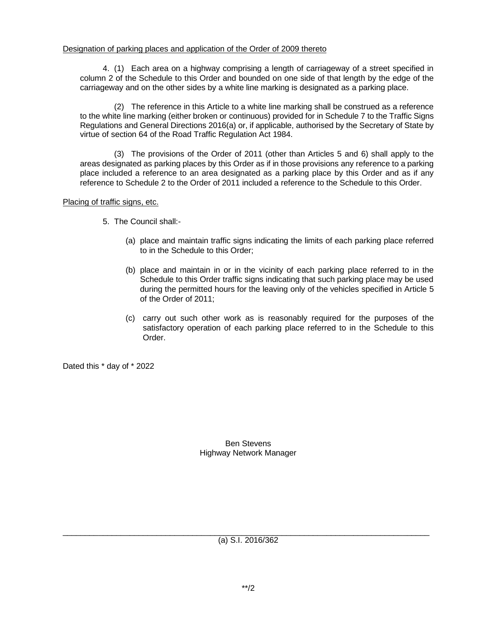#### Designation of parking places and application of the Order of 2009 thereto

4. (1) Each area on a highway comprising a length of carriageway of a street specified in column 2 of the Schedule to this Order and bounded on one side of that length by the edge of the carriageway and on the other sides by a white line marking is designated as a parking place.

(2) The reference in this Article to a white line marking shall be construed as a reference to the white line marking (either broken or continuous) provided for in Schedule 7 to the Traffic Signs Regulations and General Directions 2016(a) or, if applicable, authorised by the Secretary of State by virtue of section 64 of the Road Traffic Regulation Act 1984.

(3) The provisions of the Order of 2011 (other than Articles 5 and 6) shall apply to the areas designated as parking places by this Order as if in those provisions any reference to a parking place included a reference to an area designated as a parking place by this Order and as if any reference to Schedule 2 to the Order of 2011 included a reference to the Schedule to this Order.

Placing of traffic signs, etc.

- 5. The Council shall:-
	- (a) place and maintain traffic signs indicating the limits of each parking place referred to in the Schedule to this Order;
	- (b) place and maintain in or in the vicinity of each parking place referred to in the Schedule to this Order traffic signs indicating that such parking place may be used during the permitted hours for the leaving only of the vehicles specified in Article 5 of the Order of 2011;
	- (c) carry out such other work as is reasonably required for the purposes of the satisfactory operation of each parking place referred to in the Schedule to this Order.

Dated this \* day of \* 2022

Ben Stevens Highway Network Manager

\_\_\_\_\_\_\_\_\_\_\_\_\_\_\_\_\_\_\_\_\_\_\_\_\_\_\_\_\_\_\_\_\_\_\_\_\_\_\_\_\_\_\_\_\_\_\_\_\_\_\_\_\_\_\_\_\_\_\_\_\_\_\_\_\_\_\_\_\_\_\_\_\_\_\_\_\_\_\_\_\_\_ (a) S.I. 2016/362